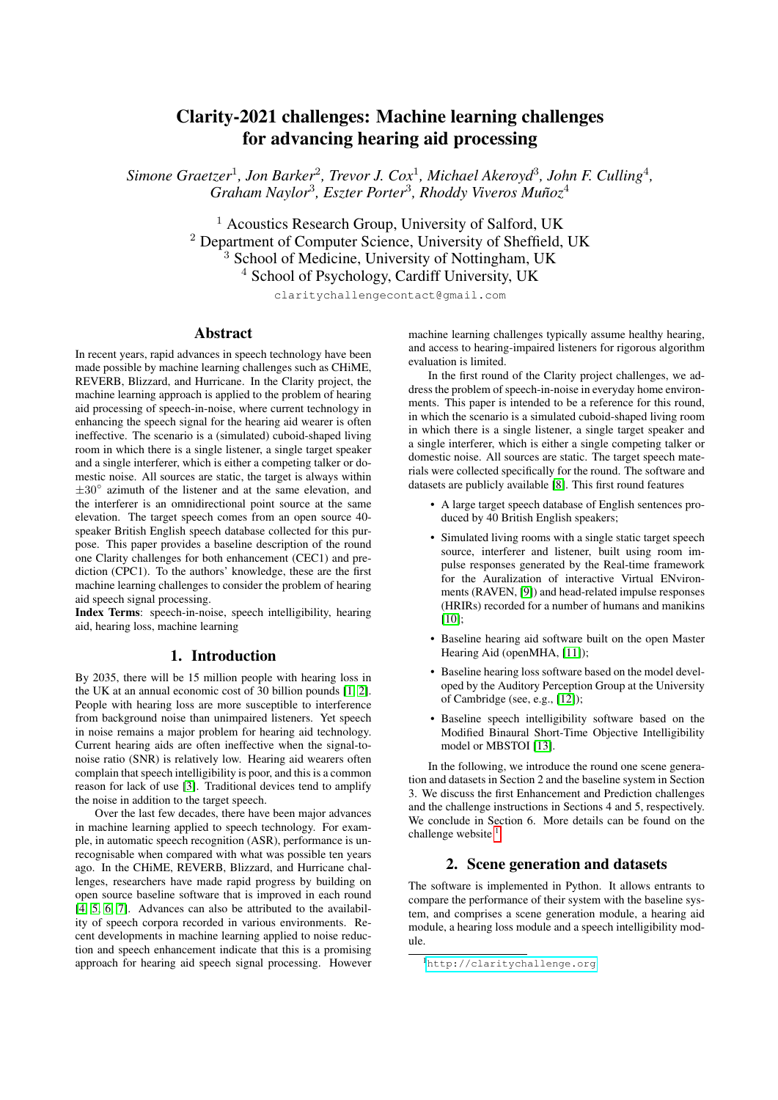# Clarity-2021 challenges: Machine learning challenges for advancing hearing aid processing

*Simone Graetzer*<sup>1</sup> *, Jon Barker*<sup>2</sup> *, Trevor J. Cox*<sup>1</sup> *, Michael Akeroyd*<sup>3</sup> *, John F. Culling*<sup>4</sup> *,* Graham Naylor<sup>3</sup>, Eszter Porter<sup>3</sup>, Rhoddy Viveros Muñoz<sup>4</sup>

> <sup>1</sup> Acoustics Research Group, University of Salford, UK <sup>2</sup> Department of Computer Science, University of Sheffield, UK <sup>3</sup> School of Medicine, University of Nottingham, UK <sup>4</sup> School of Psychology, Cardiff University, UK

claritychallengecontact@gmail.com

### Abstract

In recent years, rapid advances in speech technology have been made possible by machine learning challenges such as CHiME, REVERB, Blizzard, and Hurricane. In the Clarity project, the machine learning approach is applied to the problem of hearing aid processing of speech-in-noise, where current technology in enhancing the speech signal for the hearing aid wearer is often ineffective. The scenario is a (simulated) cuboid-shaped living room in which there is a single listener, a single target speaker and a single interferer, which is either a competing talker or domestic noise. All sources are static, the target is always within ±30◦ azimuth of the listener and at the same elevation, and the interferer is an omnidirectional point source at the same elevation. The target speech comes from an open source 40 speaker British English speech database collected for this purpose. This paper provides a baseline description of the round one Clarity challenges for both enhancement (CEC1) and prediction (CPC1). To the authors' knowledge, these are the first machine learning challenges to consider the problem of hearing aid speech signal processing.

Index Terms: speech-in-noise, speech intelligibility, hearing aid, hearing loss, machine learning

# 1. Introduction

By 2035, there will be 15 million people with hearing loss in the UK at an annual economic cost of 30 billion pounds [\[1,](#page-4-0) [2\]](#page-4-1). People with hearing loss are more susceptible to interference from background noise than unimpaired listeners. Yet speech in noise remains a major problem for hearing aid technology. Current hearing aids are often ineffective when the signal-tonoise ratio (SNR) is relatively low. Hearing aid wearers often complain that speech intelligibility is poor, and this is a common reason for lack of use [\[3\]](#page-4-2). Traditional devices tend to amplify the noise in addition to the target speech.

Over the last few decades, there have been major advances in machine learning applied to speech technology. For example, in automatic speech recognition (ASR), performance is unrecognisable when compared with what was possible ten years ago. In the CHiME, REVERB, Blizzard, and Hurricane challenges, researchers have made rapid progress by building on open source baseline software that is improved in each round [\[4,](#page-4-3) [5,](#page-4-4) [6,](#page-4-5) [7\]](#page-4-6). Advances can also be attributed to the availability of speech corpora recorded in various environments. Recent developments in machine learning applied to noise reduction and speech enhancement indicate that this is a promising approach for hearing aid speech signal processing. However machine learning challenges typically assume healthy hearing, and access to hearing-impaired listeners for rigorous algorithm evaluation is limited.

In the first round of the Clarity project challenges, we address the problem of speech-in-noise in everyday home environments. This paper is intended to be a reference for this round, in which the scenario is a simulated cuboid-shaped living room in which there is a single listener, a single target speaker and a single interferer, which is either a single competing talker or domestic noise. All sources are static. The target speech materials were collected specifically for the round. The software and datasets are publicly available [\[8\]](#page-4-7). This first round features

- A large target speech database of English sentences produced by 40 British English speakers;
- Simulated living rooms with a single static target speech source, interferer and listener, built using room impulse responses generated by the Real-time framework for the Auralization of interactive Virtual ENvironments (RAVEN, [\[9\]](#page-4-8)) and head-related impulse responses (HRIRs) recorded for a number of humans and manikins  $[10]$ ;
- Baseline hearing aid software built on the open Master Hearing Aid (openMHA, [\[11\]](#page-4-10));
- Baseline hearing loss software based on the model developed by the Auditory Perception Group at the University of Cambridge (see, e.g., [\[12\]](#page-4-11));
- Baseline speech intelligibility software based on the Modified Binaural Short-Time Objective Intelligibility model or MBSTOI [\[13\]](#page-4-12).

In the following, we introduce the round one scene generation and datasets in Section 2 and the baseline system in Section 3. We discuss the first Enhancement and Prediction challenges and the challenge instructions in Sections 4 and 5, respectively. We conclude in Section 6. More details can be found on the challenge website <sup>[1](#page-0-0)</sup>.

# 2. Scene generation and datasets

The software is implemented in Python. It allows entrants to compare the performance of their system with the baseline system, and comprises a scene generation module, a hearing aid module, a hearing loss module and a speech intelligibility module.

<span id="page-0-0"></span><sup>1</sup><http://claritychallenge.org>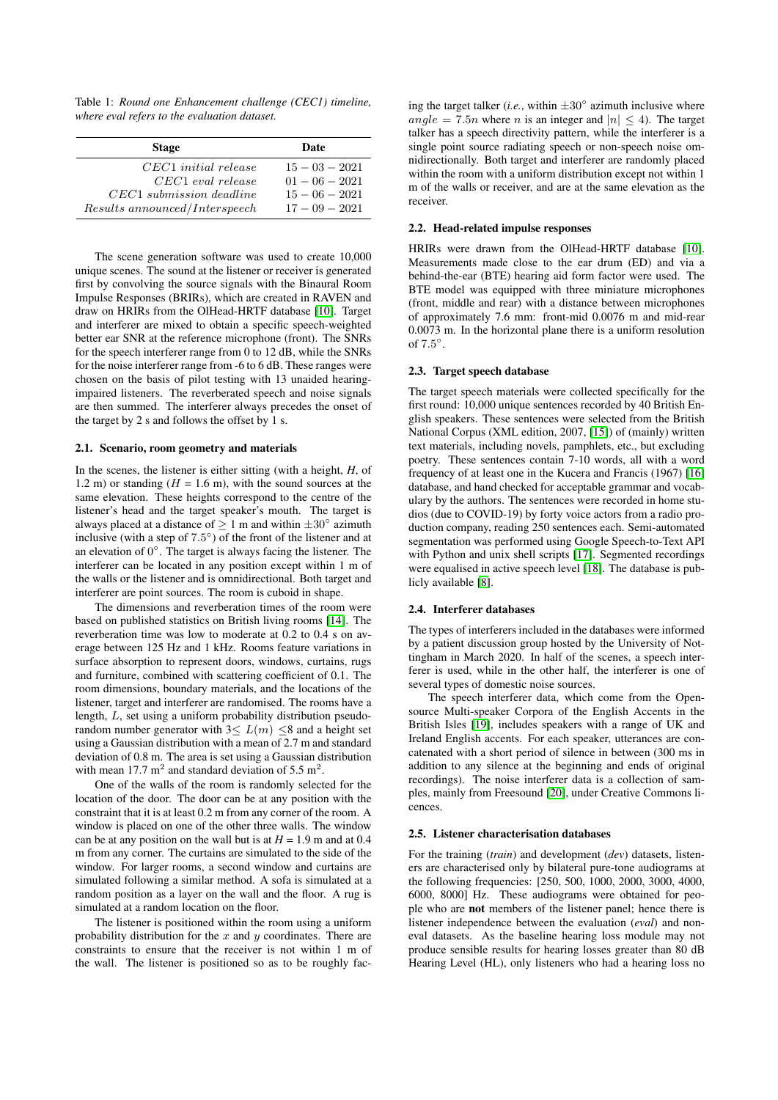Table 1: *Round one Enhancement challenge (CEC1) timeline, where eval refers to the evaluation dataset.*

| <b>Stage</b>                                                                | Date                                                     |
|-----------------------------------------------------------------------------|----------------------------------------------------------|
| $CEC1$ initial release<br>$CEC1$ eval release<br>$CEC1$ submission deadline | $15 - 03 - 2021$<br>$01 - 06 - 2021$<br>$15 - 06 - 2021$ |
| Results announced/Interspeech                                               | $17 - 09 - 2021$                                         |

The scene generation software was used to create 10,000 unique scenes. The sound at the listener or receiver is generated first by convolving the source signals with the Binaural Room Impulse Responses (BRIRs), which are created in RAVEN and draw on HRIRs from the OlHead-HRTF database [\[10\]](#page-4-9). Target and interferer are mixed to obtain a specific speech-weighted better ear SNR at the reference microphone (front). The SNRs for the speech interferer range from 0 to 12 dB, while the SNRs for the noise interferer range from -6 to 6 dB. These ranges were chosen on the basis of pilot testing with 13 unaided hearingimpaired listeners. The reverberated speech and noise signals are then summed. The interferer always precedes the onset of the target by 2 s and follows the offset by 1 s.

#### 2.1. Scenario, room geometry and materials

In the scenes, the listener is either sitting (with a height, *H*, of 1.2 m) or standing  $(H = 1.6 \text{ m})$ , with the sound sources at the same elevation. These heights correspond to the centre of the listener's head and the target speaker's mouth. The target is always placed at a distance of  $\geq 1$  m and within  $\pm 30^{\circ}$  azimuth inclusive (with a step of 7.5 ◦ ) of the front of the listener and at an elevation of  $0^\circ$ . The target is always facing the listener. The interferer can be located in any position except within 1 m of the walls or the listener and is omnidirectional. Both target and interferer are point sources. The room is cuboid in shape.

The dimensions and reverberation times of the room were based on published statistics on British living rooms [\[14\]](#page-4-13). The reverberation time was low to moderate at 0.2 to 0.4 s on average between 125 Hz and 1 kHz. Rooms feature variations in surface absorption to represent doors, windows, curtains, rugs and furniture, combined with scattering coefficient of 0.1. The room dimensions, boundary materials, and the locations of the listener, target and interferer are randomised. The rooms have a length, L, set using a uniform probability distribution pseudorandom number generator with  $3 \le L(m) \le 8$  and a height set using a Gaussian distribution with a mean of 2.7 m and standard deviation of 0.8 m. The area is set using a Gaussian distribution with mean 17.7  $m^2$  and standard deviation of 5.5  $m^2$ .

One of the walls of the room is randomly selected for the location of the door. The door can be at any position with the constraint that it is at least 0.2 m from any corner of the room. A window is placed on one of the other three walls. The window can be at any position on the wall but is at  $H = 1.9$  m and at 0.4 m from any corner. The curtains are simulated to the side of the window. For larger rooms, a second window and curtains are simulated following a similar method. A sofa is simulated at a random position as a layer on the wall and the floor. A rug is simulated at a random location on the floor.

The listener is positioned within the room using a uniform probability distribution for the  $x$  and  $y$  coordinates. There are constraints to ensure that the receiver is not within 1 m of the wall. The listener is positioned so as to be roughly fac-

ing the target talker (*i.e.*, within  $\pm 30^\circ$  azimuth inclusive where angle = 7.5n where n is an integer and  $|n| \leq 4$ ). The target talker has a speech directivity pattern, while the interferer is a single point source radiating speech or non-speech noise omnidirectionally. Both target and interferer are randomly placed within the room with a uniform distribution except not within 1 m of the walls or receiver, and are at the same elevation as the receiver.

#### 2.2. Head-related impulse responses

HRIRs were drawn from the OlHead-HRTF database [\[10\]](#page-4-9). Measurements made close to the ear drum (ED) and via a behind-the-ear (BTE) hearing aid form factor were used. The BTE model was equipped with three miniature microphones (front, middle and rear) with a distance between microphones of approximately 7.6 mm: front-mid 0.0076 m and mid-rear 0.0073 m. In the horizontal plane there is a uniform resolution of  $7.5^\circ$ .

#### 2.3. Target speech database

The target speech materials were collected specifically for the first round: 10,000 unique sentences recorded by 40 British English speakers. These sentences were selected from the British National Corpus (XML edition, 2007, [\[15\]](#page-4-14)) of (mainly) written text materials, including novels, pamphlets, etc., but excluding poetry. These sentences contain 7-10 words, all with a word frequency of at least one in the Kucera and Francis (1967) [\[16\]](#page-4-15) database, and hand checked for acceptable grammar and vocabulary by the authors. The sentences were recorded in home studios (due to COVID-19) by forty voice actors from a radio production company, reading 250 sentences each. Semi-automated segmentation was performed using Google Speech-to-Text API with Python and unix shell scripts [\[17\]](#page-4-16). Segmented recordings were equalised in active speech level [\[18\]](#page-4-17). The database is publicly available [\[8\]](#page-4-7).

#### 2.4. Interferer databases

The types of interferers included in the databases were informed by a patient discussion group hosted by the University of Nottingham in March 2020. In half of the scenes, a speech interferer is used, while in the other half, the interferer is one of several types of domestic noise sources.

The speech interferer data, which come from the Opensource Multi-speaker Corpora of the English Accents in the British Isles [\[19\]](#page-4-18), includes speakers with a range of UK and Ireland English accents. For each speaker, utterances are concatenated with a short period of silence in between (300 ms in addition to any silence at the beginning and ends of original recordings). The noise interferer data is a collection of samples, mainly from Freesound [\[20\]](#page-4-19), under Creative Commons licences.

#### 2.5. Listener characterisation databases

For the training (*train*) and development (*dev*) datasets, listeners are characterised only by bilateral pure-tone audiograms at the following frequencies: [250, 500, 1000, 2000, 3000, 4000, 6000, 8000] Hz. These audiograms were obtained for people who are not members of the listener panel; hence there is listener independence between the evaluation (*eval*) and noneval datasets. As the baseline hearing loss module may not produce sensible results for hearing losses greater than 80 dB Hearing Level (HL), only listeners who had a hearing loss no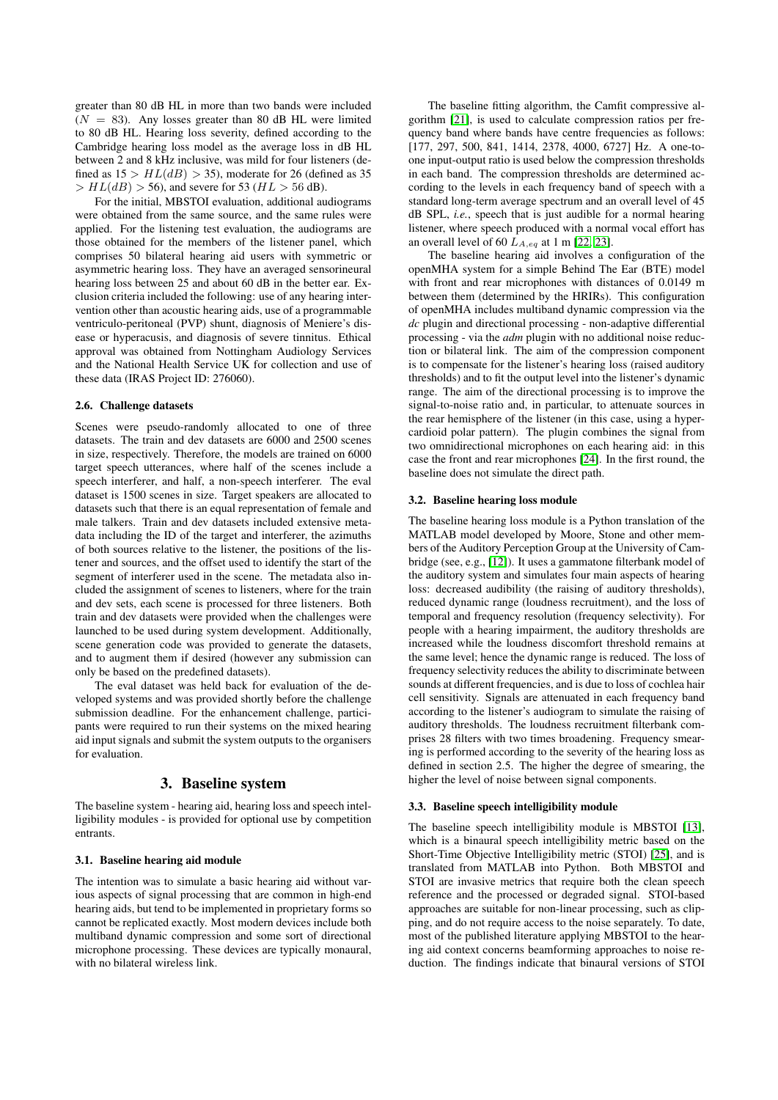greater than 80 dB HL in more than two bands were included  $(N = 83)$ . Any losses greater than 80 dB HL were limited to 80 dB HL. Hearing loss severity, defined according to the Cambridge hearing loss model as the average loss in dB HL between 2 and 8 kHz inclusive, was mild for four listeners (defined as  $15 > HL(dB) > 35$ ), moderate for 26 (defined as 35  $> HL(dB) > 56$ , and severe for 53 ( $HL > 56$  dB).

For the initial, MBSTOI evaluation, additional audiograms were obtained from the same source, and the same rules were applied. For the listening test evaluation, the audiograms are those obtained for the members of the listener panel, which comprises 50 bilateral hearing aid users with symmetric or asymmetric hearing loss. They have an averaged sensorineural hearing loss between 25 and about 60 dB in the better ear. Exclusion criteria included the following: use of any hearing intervention other than acoustic hearing aids, use of a programmable ventriculo-peritoneal (PVP) shunt, diagnosis of Meniere's disease or hyperacusis, and diagnosis of severe tinnitus. Ethical approval was obtained from Nottingham Audiology Services and the National Health Service UK for collection and use of these data (IRAS Project ID: 276060).

#### 2.6. Challenge datasets

Scenes were pseudo-randomly allocated to one of three datasets. The train and dev datasets are 6000 and 2500 scenes in size, respectively. Therefore, the models are trained on 6000 target speech utterances, where half of the scenes include a speech interferer, and half, a non-speech interferer. The eval dataset is 1500 scenes in size. Target speakers are allocated to datasets such that there is an equal representation of female and male talkers. Train and dev datasets included extensive metadata including the ID of the target and interferer, the azimuths of both sources relative to the listener, the positions of the listener and sources, and the offset used to identify the start of the segment of interferer used in the scene. The metadata also included the assignment of scenes to listeners, where for the train and dev sets, each scene is processed for three listeners. Both train and dev datasets were provided when the challenges were launched to be used during system development. Additionally, scene generation code was provided to generate the datasets, and to augment them if desired (however any submission can only be based on the predefined datasets).

The eval dataset was held back for evaluation of the developed systems and was provided shortly before the challenge submission deadline. For the enhancement challenge, participants were required to run their systems on the mixed hearing aid input signals and submit the system outputs to the organisers for evaluation.

### 3. Baseline system

The baseline system - hearing aid, hearing loss and speech intelligibility modules - is provided for optional use by competition entrants.

#### 3.1. Baseline hearing aid module

The intention was to simulate a basic hearing aid without various aspects of signal processing that are common in high-end hearing aids, but tend to be implemented in proprietary forms so cannot be replicated exactly. Most modern devices include both multiband dynamic compression and some sort of directional microphone processing. These devices are typically monaural, with no bilateral wireless link.

The baseline fitting algorithm, the Camfit compressive algorithm [\[21\]](#page-4-20), is used to calculate compression ratios per frequency band where bands have centre frequencies as follows: [177, 297, 500, 841, 1414, 2378, 4000, 6727] Hz. A one-toone input-output ratio is used below the compression thresholds in each band. The compression thresholds are determined according to the levels in each frequency band of speech with a standard long-term average spectrum and an overall level of 45 dB SPL, *i.e.*, speech that is just audible for a normal hearing listener, where speech produced with a normal vocal effort has an overall level of 60  $L_{A,eq}$  at 1 m [\[22,](#page-4-21) [23\]](#page-4-22).

The baseline hearing aid involves a configuration of the openMHA system for a simple Behind The Ear (BTE) model with front and rear microphones with distances of 0.0149 m between them (determined by the HRIRs). This configuration of openMHA includes multiband dynamic compression via the *dc* plugin and directional processing - non-adaptive differential processing - via the *adm* plugin with no additional noise reduction or bilateral link. The aim of the compression component is to compensate for the listener's hearing loss (raised auditory thresholds) and to fit the output level into the listener's dynamic range. The aim of the directional processing is to improve the signal-to-noise ratio and, in particular, to attenuate sources in the rear hemisphere of the listener (in this case, using a hypercardioid polar pattern). The plugin combines the signal from two omnidirectional microphones on each hearing aid: in this case the front and rear microphones [\[24\]](#page-4-23). In the first round, the baseline does not simulate the direct path.

#### 3.2. Baseline hearing loss module

The baseline hearing loss module is a Python translation of the MATLAB model developed by Moore, Stone and other members of the Auditory Perception Group at the University of Cambridge (see, e.g., [\[12\]](#page-4-11)). It uses a gammatone filterbank model of the auditory system and simulates four main aspects of hearing loss: decreased audibility (the raising of auditory thresholds), reduced dynamic range (loudness recruitment), and the loss of temporal and frequency resolution (frequency selectivity). For people with a hearing impairment, the auditory thresholds are increased while the loudness discomfort threshold remains at the same level; hence the dynamic range is reduced. The loss of frequency selectivity reduces the ability to discriminate between sounds at different frequencies, and is due to loss of cochlea hair cell sensitivity. Signals are attenuated in each frequency band according to the listener's audiogram to simulate the raising of auditory thresholds. The loudness recruitment filterbank comprises 28 filters with two times broadening. Frequency smearing is performed according to the severity of the hearing loss as defined in section 2.5. The higher the degree of smearing, the higher the level of noise between signal components.

#### 3.3. Baseline speech intelligibility module

The baseline speech intelligibility module is MBSTOI [\[13\]](#page-4-12), which is a binaural speech intelligibility metric based on the Short-Time Objective Intelligibility metric (STOI) [\[25\]](#page-4-24), and is translated from MATLAB into Python. Both MBSTOI and STOI are invasive metrics that require both the clean speech reference and the processed or degraded signal. STOI-based approaches are suitable for non-linear processing, such as clipping, and do not require access to the noise separately. To date, most of the published literature applying MBSTOI to the hearing aid context concerns beamforming approaches to noise reduction. The findings indicate that binaural versions of STOI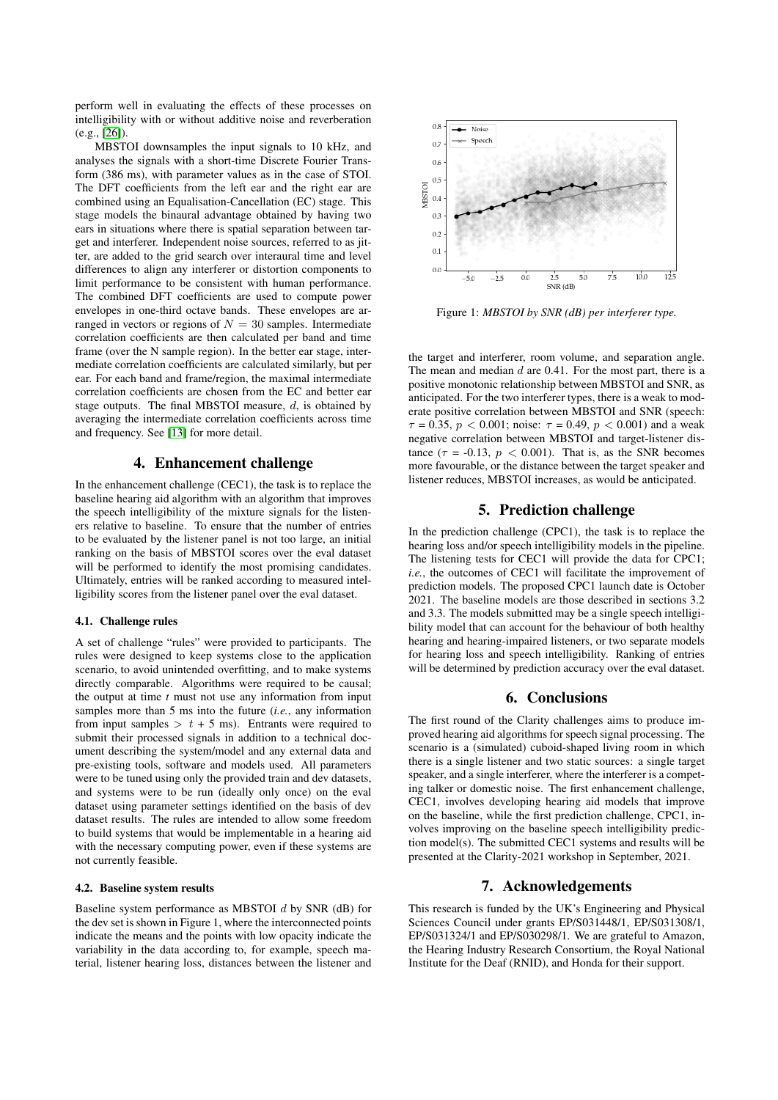perform well in evaluating the effects of these processes on intelligibility with or without additive noise and reverberation (e.g., [\[26\]](#page-4-25)).

MBSTOI downsamples the input signals to 10 kHz, and analyses the signals with a short-time Discrete Fourier Transform (386 ms), with parameter values as in the case of STOI. The DFT coefficients from the left ear and the right ear are combined using an Equalisation-Cancellation (EC) stage. This stage models the binaural advantage obtained by having two ears in situations where there is spatial separation between target and interferer. Independent noise sources, referred to as jitter, are added to the grid search over interaural time and level differences to align any interferer or distortion components to limit performance to be consistent with human performance. The combined DFT coefficients are used to compute power envelopes in one-third octave bands. These envelopes are arranged in vectors or regions of  $N = 30$  samples. Intermediate correlation coefficients are then calculated per band and time frame (over the N sample region). In the better ear stage, intermediate correlation coefficients are calculated similarly, but per ear. For each band and frame/region, the maximal intermediate correlation coefficients are chosen from the EC and better ear stage outputs. The final MBSTOI measure,  $d$ , is obtained by averaging the intermediate correlation coefficients across time and frequency. See [\[13\]](#page-4-12) for more detail.

# 4. Enhancement challenge

In the enhancement challenge (CEC1), the task is to replace the baseline hearing aid algorithm with an algorithm that improves the speech intelligibility of the mixture signals for the listeners relative to baseline. To ensure that the number of entries to be evaluated by the listener panel is not too large, an initial ranking on the basis of MBSTOI scores over the eval dataset will be performed to identify the most promising candidates. Ultimately, entries will be ranked according to measured intelligibility scores from the listener panel over the eval dataset.

#### 4.1. Challenge rules

A set of challenge "rules" were provided to participants. The rules were designed to keep systems close to the application scenario, to avoid unintended overfitting, and to make systems directly comparable. Algorithms were required to be causal; the output at time *t* must not use any information from input samples more than 5 ms into the future (*i.e.*, any information from input samples  $> t + 5$  ms). Entrants were required to submit their processed signals in addition to a technical document describing the system/model and any external data and pre-existing tools, software and models used. All parameters were to be tuned using only the provided train and dev datasets, and systems were to be run (ideally only once) on the eval dataset using parameter settings identified on the basis of dev dataset results. The rules are intended to allow some freedom to build systems that would be implementable in a hearing aid with the necessary computing power, even if these systems are not currently feasible.

#### 4.2. Baseline system results

Baseline system performance as MBSTOI  $d$  by SNR (dB) for the dev set is shown in Figure 1, where the interconnected points indicate the means and the points with low opacity indicate the variability in the data according to, for example, speech material, listener hearing loss, distances between the listener and



Figure 1: *MBSTOI by SNR (dB) per interferer type.*

the target and interferer, room volume, and separation angle. The mean and median  $d$  are 0.41. For the most part, there is a positive monotonic relationship between MBSTOI and SNR, as anticipated. For the two interferer types, there is a weak to moderate positive correlation between MBSTOI and SNR (speech:  $\tau = 0.35, p < 0.001$ ; noise:  $\tau = 0.49, p < 0.001$ ) and a weak negative correlation between MBSTOI and target-listener distance ( $\tau$  = -0.13,  $p < 0.001$ ). That is, as the SNR becomes more favourable, or the distance between the target speaker and listener reduces, MBSTOI increases, as would be anticipated.

# 5. Prediction challenge

In the prediction challenge (CPC1), the task is to replace the hearing loss and/or speech intelligibility models in the pipeline. The listening tests for CEC1 will provide the data for CPC1; *i.e.*, the outcomes of CEC1 will facilitate the improvement of prediction models. The proposed CPC1 launch date is October 2021. The baseline models are those described in sections 3.2 and 3.3. The models submitted may be a single speech intelligibility model that can account for the behaviour of both healthy hearing and hearing-impaired listeners, or two separate models for hearing loss and speech intelligibility. Ranking of entries will be determined by prediction accuracy over the eval dataset.

### 6. Conclusions

The first round of the Clarity challenges aims to produce improved hearing aid algorithms for speech signal processing. The scenario is a (simulated) cuboid-shaped living room in which there is a single listener and two static sources: a single target speaker, and a single interferer, where the interferer is a competing talker or domestic noise. The first enhancement challenge, CEC1, involves developing hearing aid models that improve on the baseline, while the first prediction challenge, CPC1, involves improving on the baseline speech intelligibility prediction model(s). The submitted CEC1 systems and results will be presented at the Clarity-2021 workshop in September, 2021.

## 7. Acknowledgements

This research is funded by the UK's Engineering and Physical Sciences Council under grants EP/S031448/1, EP/S031308/1, EP/S031324/1 and EP/S030298/1. We are grateful to Amazon, the Hearing Industry Research Consortium, the Royal National Institute for the Deaf (RNID), and Honda for their support.